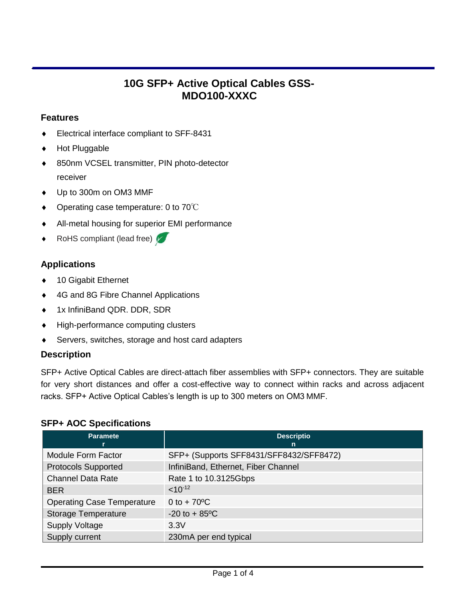# **10G SFP+ Active Optical Cables GSS-MDO100-XXXC**

# **Features**

- Electrical interface compliant to SFF-8431
- Hot Pluggable
- 850nm VCSEL transmitter, PIN photo-detector receiver
- $\bullet$  Up to 300m on OM3 MMF
- ◆ Operating case temperature: 0 to 70 °C
- All-metal housing for superior EMI performance
- RoHS compliant (lead free)

# **Applications**

- ◆ 10 Gigabit Ethernet
- 4G and 8G Fibre Channel Applications
- ◆ 1x InfiniBand QDR. DDR, SDR
- High-performance computing clusters
- Servers, switches, storage and host card adapters

### **Description**

SFP+ Active Optical Cables are direct-attach fiber assemblies with SFP+ connectors. They are suitable for very short distances and offer a cost-effective way to connect within racks and across adjacent racks. SFP+ Active Optical Cables's length is up to 300 meters on OM3 MMF.

### **SFP+ AOC Specifications**

| <b>Paramete</b>                   | <b>Descriptio</b><br>n                  |
|-----------------------------------|-----------------------------------------|
| Module Form Factor                | SFP+ (Supports SFF8431/SFF8432/SFF8472) |
| <b>Protocols Supported</b>        | InfiniBand, Ethernet, Fiber Channel     |
| <b>Channel Data Rate</b>          | Rate 1 to 10.3125Gbps                   |
| <b>BER</b>                        | $< 10^{-12}$                            |
| <b>Operating Case Temperature</b> | 0 to $+70^{\circ}$ C                    |
| <b>Storage Temperature</b>        | $-20$ to $+85$ °C                       |
| <b>Supply Voltage</b>             | 3.3V                                    |
| Supply current                    | 230mA per end typical                   |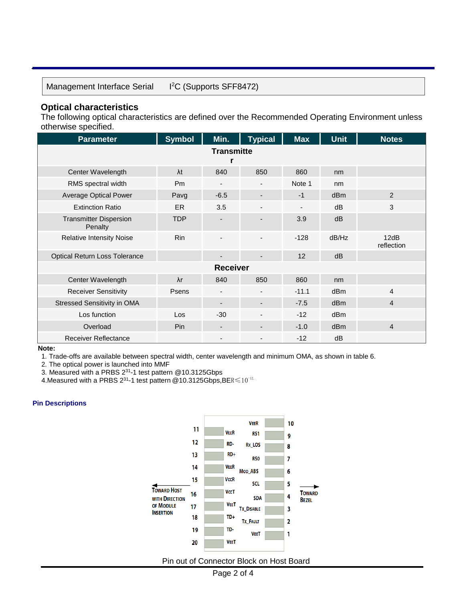Management Interface Serial

<sup>2</sup>C (Supports SFF8472)

#### **Optical characteristics**

The following optical characteristics are defined over the Recommended Operating Environment unless otherwise specified.

| <b>Parameter</b>                         | <b>Symbol</b>  | Min.                     | <b>Typical</b>           | <b>Max</b>     | <b>Unit</b>     | <b>Notes</b>       |  |  |
|------------------------------------------|----------------|--------------------------|--------------------------|----------------|-----------------|--------------------|--|--|
| <b>Transmitte</b>                        |                |                          |                          |                |                 |                    |  |  |
|                                          |                |                          |                          |                |                 |                    |  |  |
| Center Wavelength                        | $\lambda t$    | 840                      | 850                      | 860            | nm              |                    |  |  |
| RMS spectral width                       | P <sub>m</sub> | $\overline{\phantom{a}}$ | $\overline{\phantom{a}}$ | Note 1         | nm              |                    |  |  |
| <b>Average Optical Power</b>             | Pavg           | $-6.5$                   | ٠                        | $-1$           | d <sub>Bm</sub> | 2                  |  |  |
| <b>Extinction Ratio</b>                  | <b>ER</b>      | 3.5                      |                          | $\blacksquare$ | dB              | 3                  |  |  |
| <b>Transmitter Dispersion</b><br>Penalty | <b>TDP</b>     |                          |                          | 3.9            | dB              |                    |  |  |
| <b>Relative Intensity Noise</b>          | <b>Rin</b>     |                          | $\overline{a}$           | $-128$         | dB/Hz           | 12dB<br>reflection |  |  |
| <b>Optical Return Loss Tolerance</b>     |                |                          | $\overline{\phantom{a}}$ | 12             | dB              |                    |  |  |
| <b>Receiver</b>                          |                |                          |                          |                |                 |                    |  |  |
| Center Wavelength                        | $\lambda r$    | 840                      | 850                      | 860            | nm              |                    |  |  |
| <b>Receiver Sensitivity</b>              | Psens          | $\overline{\phantom{a}}$ | $\overline{\phantom{a}}$ | $-11.1$        | dB <sub>m</sub> | $\overline{4}$     |  |  |
| Stressed Sensitivity in OMA              |                | $\overline{\phantom{a}}$ | $\overline{\phantom{a}}$ | $-7.5$         | d <sub>Bm</sub> | $\overline{4}$     |  |  |
| Los function                             | Los            | $-30$                    |                          | $-12$          | dBm             |                    |  |  |
| Overload                                 | Pin            |                          | $\blacksquare$           | $-1.0$         | d <sub>Bm</sub> | $\overline{4}$     |  |  |
| <b>Receiver Reflectance</b>              |                |                          |                          | $-12$          | dB              |                    |  |  |

**Note:**

1. Trade-offs are available between spectral width, center wavelength and minimum OMA, as shown in table 6.

2. The optical power is launched into MMF

3. Measured with a PRBS  $2^{31}$ -1 test pattern @10.3125Gbps

4.Measured with a PRBS 2<sup>31</sup>-1 test pattern @10.3125Gbps,BER $\leqslant$ 10<sup>-12.</sup>

#### **Pin Descriptions**



Pin out of Connector Block on Host Board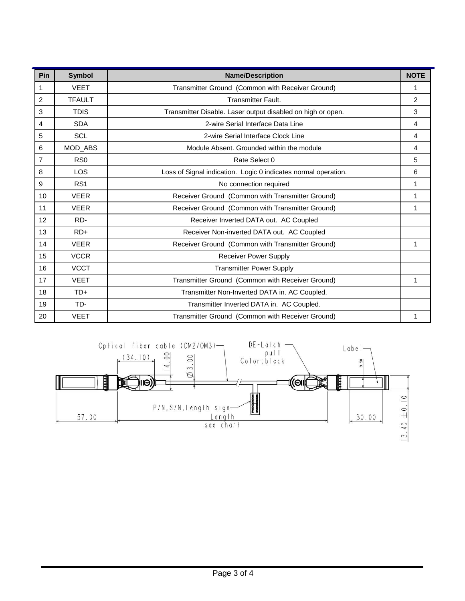| Pin            | <b>Symbol</b>   | <b>Name/Description</b>                                        | <b>NOTE</b>    |
|----------------|-----------------|----------------------------------------------------------------|----------------|
| 1              | <b>VEET</b>     | Transmitter Ground (Common with Receiver Ground)               | 1              |
| $\overline{2}$ | <b>TFAULT</b>   | <b>Transmitter Fault.</b>                                      | $\overline{2}$ |
| 3              | <b>TDIS</b>     | Transmitter Disable. Laser output disabled on high or open.    | 3              |
| $\overline{4}$ | <b>SDA</b>      | 2-wire Serial Interface Data Line                              | 4              |
| 5              | <b>SCL</b>      | 2-wire Serial Interface Clock Line                             | 4              |
| 6              | MOD_ABS         | Module Absent. Grounded within the module                      | $\overline{4}$ |
| $\overline{7}$ | RS <sub>0</sub> | Rate Select 0                                                  | 5              |
| 8              | <b>LOS</b>      | Loss of Signal indication. Logic 0 indicates normal operation. | 6              |
| 9              | RS <sub>1</sub> | No connection required                                         | 1              |
| 10             | <b>VEER</b>     | Receiver Ground (Common with Transmitter Ground)               | 1              |
| 11             | <b>VEER</b>     | Receiver Ground (Common with Transmitter Ground)               | 1              |
| 12             | RD-             | Receiver Inverted DATA out. AC Coupled                         |                |
| 13             | $RD+$           | Receiver Non-inverted DATA out. AC Coupled                     |                |
| 14             | <b>VEER</b>     | Receiver Ground (Common with Transmitter Ground)               | 1              |
| 15             | <b>VCCR</b>     | <b>Receiver Power Supply</b>                                   |                |
| 16             | <b>VCCT</b>     | <b>Transmitter Power Supply</b>                                |                |
| 17             | <b>VEET</b>     | Transmitter Ground (Common with Receiver Ground)               | 1              |
| 18             | $TD+$           | Transmitter Non-Inverted DATA in. AC Coupled.                  |                |
| 19             | TD-             | Transmitter Inverted DATA in. AC Coupled.                      |                |
| 20             | <b>VEET</b>     | Transmitter Ground (Common with Receiver Ground)               | 1              |